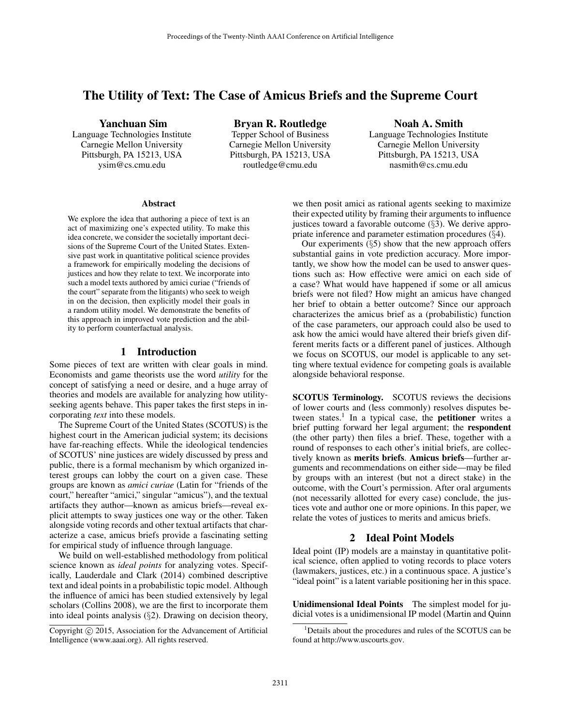# The Utility of Text: The Case of Amicus Briefs and the Supreme Court

Yanchuan Sim

Language Technologies Institute Carnegie Mellon University Pittsburgh, PA 15213, USA ysim@cs.cmu.edu

Bryan R. Routledge Tepper School of Business Carnegie Mellon University Pittsburgh, PA 15213, USA routledge@cmu.edu

Noah A. Smith Language Technologies Institute Carnegie Mellon University Pittsburgh, PA 15213, USA nasmith@cs.cmu.edu

#### Abstract

We explore the idea that authoring a piece of text is an act of maximizing one's expected utility. To make this idea concrete, we consider the societally important decisions of the Supreme Court of the United States. Extensive past work in quantitative political science provides a framework for empirically modeling the decisions of justices and how they relate to text. We incorporate into such a model texts authored by amici curiae ("friends of the court" separate from the litigants) who seek to weigh in on the decision, then explicitly model their goals in a random utility model. We demonstrate the benefits of this approach in improved vote prediction and the ability to perform counterfactual analysis.

## 1 Introduction

Some pieces of text are written with clear goals in mind. Economists and game theorists use the word *utility* for the concept of satisfying a need or desire, and a huge array of theories and models are available for analyzing how utilityseeking agents behave. This paper takes the first steps in incorporating *text* into these models.

The Supreme Court of the United States (SCOTUS) is the highest court in the American judicial system; its decisions have far-reaching effects. While the ideological tendencies of SCOTUS' nine justices are widely discussed by press and public, there is a formal mechanism by which organized interest groups can lobby the court on a given case. These groups are known as *amici curiae* (Latin for "friends of the court," hereafter "amici," singular "amicus"), and the textual artifacts they author—known as amicus briefs—reveal explicit attempts to sway justices one way or the other. Taken alongside voting records and other textual artifacts that characterize a case, amicus briefs provide a fascinating setting for empirical study of influence through language.

We build on well-established methodology from political science known as *ideal points* for analyzing votes. Specifically, Lauderdale and Clark (2014) combined descriptive text and ideal points in a probabilistic topic model. Although the influence of amici has been studied extensively by legal scholars (Collins 2008), we are the first to incorporate them into ideal points analysis  $(\S 2)$ . Drawing on decision theory,

we then posit amici as rational agents seeking to maximize their expected utility by framing their arguments to influence justices toward a favorable outcome  $(\S$ 3). We derive appropriate inference and parameter estimation procedures (§4).

Our experiments  $(\S$ 5) show that the new approach offers substantial gains in vote prediction accuracy. More importantly, we show how the model can be used to answer questions such as: How effective were amici on each side of a case? What would have happened if some or all amicus briefs were not filed? How might an amicus have changed her brief to obtain a better outcome? Since our approach characterizes the amicus brief as a (probabilistic) function of the case parameters, our approach could also be used to ask how the amici would have altered their briefs given different merits facts or a different panel of justices. Although we focus on SCOTUS, our model is applicable to any setting where textual evidence for competing goals is available alongside behavioral response.

SCOTUS Terminology. SCOTUS reviews the decisions of lower courts and (less commonly) resolves disputes between states.<sup>1</sup> In a typical case, the **petitioner** writes a brief putting forward her legal argument; the respondent (the other party) then files a brief. These, together with a round of responses to each other's initial briefs, are collectively known as merits briefs. Amicus briefs—further arguments and recommendations on either side—may be filed by groups with an interest (but not a direct stake) in the outcome, with the Court's permission. After oral arguments (not necessarily allotted for every case) conclude, the justices vote and author one or more opinions. In this paper, we relate the votes of justices to merits and amicus briefs.

# 2 Ideal Point Models

Ideal point (IP) models are a mainstay in quantitative political science, often applied to voting records to place voters (lawmakers, justices, etc.) in a continuous space. A justice's "ideal point" is a latent variable positioning her in this space.

Unidimensional Ideal Points The simplest model for judicial votes is a unidimensional IP model (Martin and Quinn

Copyright  $\odot$  2015, Association for the Advancement of Artificial Intelligence (www.aaai.org). All rights reserved.

<sup>1</sup>Details about the procedures and rules of the SCOTUS can be found at http://www.uscourts.gov.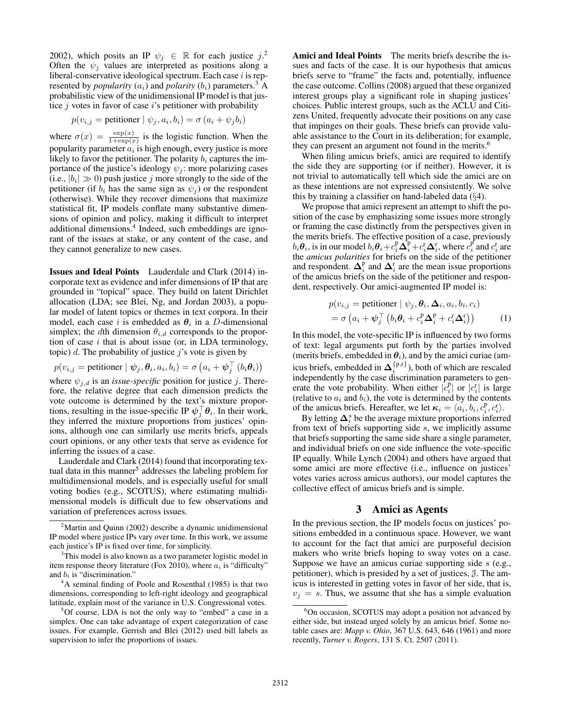2002), which posits an IP  $\psi_j \in \mathbb{R}$  for each justice  $j^2$ . Often the  $\psi_i$  values are interpreted as positions along a liberal-conservative ideological spectrum. Each case  $i$  is represented by *popularity*  $(a_i)$  and *polarity*  $(b_i)$  parameters.<sup>3</sup> A probabilistic view of the unidimensional IP model is that justice  $j$  votes in favor of case  $i$ 's petitioner with probability

$$
p(v_{i,j} = \text{petitioner} \mid \psi_j, a_i, b_i) = \sigma(a_i + \psi_j b_i)
$$

where  $\sigma(x) = \frac{\exp(x)}{1+\exp(x)}$  is the logistic function. When the popularity parameter  $a_i$  is high enough, every justice is more likely to favor the petitioner. The polarity  $b_i$  captures the importance of the justice's ideology  $\psi_i$ : more polarizing cases (i.e.,  $|b_i| \gg 0$ ) push justice j more strongly to the side of the petitioner (if  $b_i$  has the same sign as  $\psi_j$ ) or the respondent (otherwise). While they recover dimensions that maximize statistical fit, IP models conflate many substantive dimensions of opinion and policy, making it difficult to interpret additional dimensions.<sup>4</sup> Indeed, such embeddings are ignorant of the issues at stake, or any content of the case, and they cannot generalize to new cases.

Issues and Ideal Points Lauderdale and Clark (2014) incorporate text as evidence and infer dimensions of IP that are grounded in "topical" space. They build on latent Dirichlet allocation (LDA; see Blei, Ng, and Jordan 2003), a popular model of latent topics or themes in text corpora. In their model, each case i is embedded as  $\theta_i$  in a D-dimensional simplex; the dth dimension  $\theta_{i,d}$  corresponds to the proportion of case  $i$  that is about issue (or, in LDA terminology, topic) d. The probability of justice  $j$ 's vote is given by

$$
p(v_{i,j} = \text{petitioner} \mid \boldsymbol{\psi}_j, \boldsymbol{\theta}_i, a_i, b_i) = \sigma\left(a_i + \boldsymbol{\psi}_j^\top(b_i \boldsymbol{\theta}_i)\right)
$$

where  $\psi_{j,d}$  is an *issue-specific* position for justice j. Therefore, the relative degree that each dimension predicts the vote outcome is determined by the text's mixture proportions, resulting in the issue-specific IP  $\psi_j^{\top} \theta_i$ . In their work, they inferred the mixture proportions from justices' opinions, although one can similarly use merits briefs, appeals court opinions, or any other texts that serve as evidence for inferring the issues of a case.

Lauderdale and Clark (2014) found that incorporating textual data in this manner<sup>5</sup> addresses the labeling problem for multidimensional models, and is especially useful for small voting bodies (e.g., SCOTUS), where estimating multidimensional models is difficult due to few observations and variation of preferences across issues.

Amici and Ideal Points The merits briefs describe the issues and facts of the case. It is our hypothesis that amicus briefs serve to "frame" the facts and, potentially, influence the case outcome. Collins (2008) argued that these organized interest groups play a significant role in shaping justices' choices. Public interest groups, such as the ACLU and Citizens United, frequently advocate their positions on any case that impinges on their goals. These briefs can provide valuable assistance to the Court in its deliberation; for example, they can present an argument not found in the merits.<sup>6</sup>

When filing amicus briefs, amici are required to identify the side they are supporting (or if neither). However, it is not trivial to automatically tell which side the amici are on as these intentions are not expressed consistently. We solve this by training a classifier on hand-labeled data (§4).

We propose that amici represent an attempt to shift the position of the case by emphasizing some issues more strongly or framing the case distinctly from the perspectives given in the merits briefs. The effective position of a case, previously  $b_i\bm{\theta}_i$ , is in our model  $b_i\bm{\theta}_i+c_i^{\rm p}\bm{\Delta}_i^{\rm p}+c_i^{\rm r}\bm{\Delta}_i^{\rm r}$ , where  $c_i^{\rm p}$  and  $c_i^{\rm r}$  are the *amicus polarities* for briefs on the side of the petitioner and respondent.  $\Delta_i^p$  and  $\Delta_i^r$  are the mean issue proportions of the amicus briefs on the side of the petitioner and respondent, respectively. Our amici-augmented IP model is:

$$
p(v_{i,j} = \text{petitioner} \mid \psi_j, \theta_i, \Delta_i, a_i, b_i, c_i)
$$
  
=  $\sigma (a_i + \psi_j^\top (b_i \theta_i + c_i^p \Delta_i^p + c_i^r \Delta_i^r))$  (1)

In this model, the vote-specific IP is influenced by two forms of text: legal arguments put forth by the parties involved (merits briefs, embedded in  $\theta_i$ ), and by the amici curiae (amicus briefs, embedded in  $\Delta_i^{\{p,r\}}$ ), both of which are rescaled independently by the case discrimination parameters to generate the vote probability. When either  $|c_i^{\text{p}}|$  or  $|c_i^{\text{r}}|$  is large (relative to  $a_i$  and  $b_i$ ), the vote is determined by the contents of the amicus briefs. Hereafter, we let  $\kappa_i = \langle a_i, b_i, c_i^p, c_i^r \rangle$ .

By letting  $\Delta_i^s$  be the average mixture proportions inferred from text of briefs supporting side s, we implicitly assume that briefs supporting the same side share a single parameter, and individual briefs on one side influence the vote-specific IP equally. While Lynch (2004) and others have argued that some amici are more effective (i.e., influence on justices' votes varies across amicus authors), our model captures the collective effect of amicus briefs and is simple.

### 3 Amici as Agents

In the previous section, the IP models focus on justices' positions embedded in a continuous space. However, we want to account for the fact that amici are purposeful decision makers who write briefs hoping to sway votes on a case. Suppose we have an amicus curiae supporting side  $s$  (e.g., petitioner), which is presided by a set of justices, J. The amicus is interested in getting votes in favor of her side, that is,  $v_j = s$ . Thus, we assume that she has a simple evaluation

 $2^2$ Martin and Quinn (2002) describe a dynamic unidimensional IP model where justice IPs vary over time. In this work, we assume each justice's IP is fixed over time, for simplicity.

<sup>&</sup>lt;sup>3</sup>This model is also known as a two parameter logistic model in item response theory literature (Fox 2010), where  $a_i$  is "difficulty" and  $b_i$  is "discrimination."

<sup>4</sup>A seminal finding of Poole and Rosenthal (1985) is that two dimensions, corresponding to left-right ideology and geographical latitude, explain most of the variance in U.S. Congressional votes.

<sup>&</sup>lt;sup>5</sup>Of course, LDA is not the only way to "embed" a case in a simplex. One can take advantage of expert categorization of case issues. For example, Gerrish and Blei (2012) used bill labels as supervision to infer the proportions of issues.

<sup>&</sup>lt;sup>6</sup>On occasion, SCOTUS may adopt a position not advanced by either side, but instead urged solely by an amicus brief. Some notable cases are: *Mapp v. Ohio*, 367 U.S. 643, 646 (1961) and more recently, *Turner v. Rogers*, 131 S. Ct. 2507 (2011).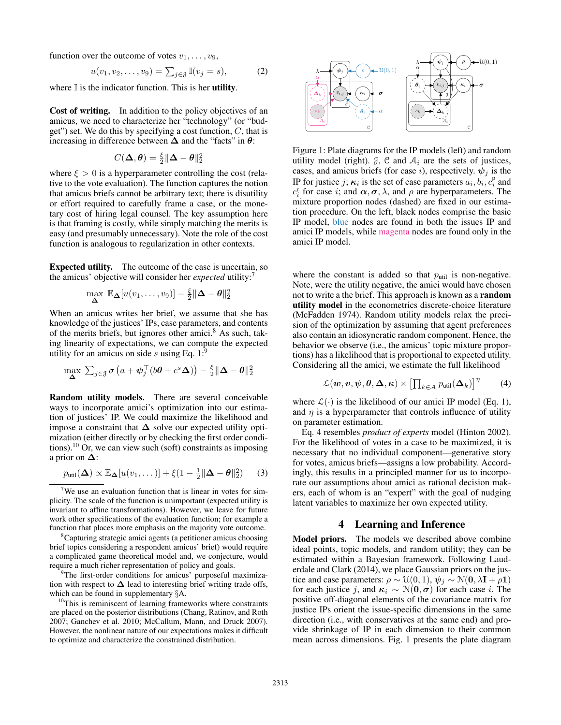function over the outcome of votes  $v_1, \ldots, v_9$ ,

$$
u(v_1, v_2, \dots, v_9) = \sum_{j \in \mathcal{J}} \mathbb{I}(v_j = s), \tag{2}
$$

where  $\mathbb I$  is the indicator function. This is her **utility**.

Cost of writing. In addition to the policy objectives of an amicus, we need to characterize her "technology" (or "budget") set. We do this by specifying a cost function,  $C$ , that is increasing in difference between  $\Delta$  and the "facts" in  $\theta$ :

$$
C(\boldsymbol{\Delta},\boldsymbol{\theta})=\tfrac{\xi}{2}\|\boldsymbol{\Delta}-\boldsymbol{\theta}\|_2^2
$$

where  $\xi > 0$  is a hyperparameter controlling the cost (relative to the vote evaluation). The function captures the notion that amicus briefs cannot be arbitrary text; there is disutility or effort required to carefully frame a case, or the monetary cost of hiring legal counsel. The key assumption here is that framing is costly, while simply matching the merits is easy (and presumably unnecessary). Note the role of the cost function is analogous to regularization in other contexts.

Expected utility. The outcome of the case is uncertain, so the amicus' objective will consider her *expected* utility:<sup>7</sup>

$$
\max_{\mathbf{\Delta}} \mathbb{E}_{\mathbf{\Delta}}[u(v_1,\ldots,v_9)] - \frac{\xi}{2} \|\mathbf{\Delta} - \boldsymbol{\theta}\|_2^2
$$

When an amicus writes her brief, we assume that she has knowledge of the justices' IPs, case parameters, and contents of the merits briefs, but ignores other amici.<sup>8</sup> As such, taking linearity of expectations, we can compute the expected utility for an amicus on side s using Eq.  $1$ :<sup>9</sup>

$$
\max_{\mathbf{\Delta}} \sum_{j \in \mathcal{J}} \sigma \left( a + \boldsymbol{\psi}_j^\top (b\boldsymbol{\theta} + c^s \mathbf{\Delta}) \right) - \frac{\xi}{2} \|\mathbf{\Delta} - \boldsymbol{\theta}\|_2^2
$$

Random utility models. There are several conceivable ways to incorporate amici's optimization into our estimation of justices' IP. We could maximize the likelihood and impose a constraint that  $\Delta$  solve our expected utility optimization (either directly or by checking the first order conditions).<sup>10</sup> Or, we can view such (soft) constraints as imposing a prior on ∆:

$$
p_{\text{util}}(\mathbf{\Delta}) \propto \mathbb{E}_{\mathbf{\Delta}}[u(v_1,\dots)] + \xi(1-\frac{1}{2}\|\mathbf{\Delta}-\boldsymbol{\theta}\|_2^2)
$$
 (3)

<sup>9</sup>The first-order conditions for amicus' purposeful maximization with respect to  $\Delta$  lead to interesting brief writing trade offs, which can be found in supplementary §A.

<sup>10</sup>This is reminiscent of learning frameworks where constraints are placed on the posterior distributions (Chang, Ratinov, and Roth 2007; Ganchev et al. 2010; McCallum, Mann, and Druck 2007). However, the nonlinear nature of our expectations makes it difficult to optimize and characterize the constrained distribution.



Figure 1: Plate diagrams for the IP models (left) and random utility model (right).  $\beta$ ,  $\beta$  and  $A_i$  are the sets of justices, cases, and amicus briefs (for case i), respectively.  $\psi_j$  is the IP for justice j;  $\kappa_i$  is the set of case parameters  $a_i, b_i, c_i^p$  and  $c_i^r$  for case *i*; and  $\alpha, \sigma, \lambda$ , and  $\rho$  are hyperparameters. The mixture proportion nodes (dashed) are fixed in our estimation procedure. On the left, black nodes comprise the basic IP model, blue nodes are found in both the issues IP and amici IP models, while magenta nodes are found only in the amici IP model.

where the constant is added so that  $p_{\text{util}}$  is non-negative. Note, were the utility negative, the amici would have chosen not to write a the brief. This approach is known as a random utility model in the econometrics discrete-choice literature (McFadden 1974). Random utility models relax the precision of the optimization by assuming that agent preferences also contain an idiosyncratic random component. Hence, the behavior we observe (i.e., the amicus' topic mixture proportions) has a likelihood that is proportional to expected utility. Considering all the amici, we estimate the full likelihood

$$
\mathcal{L}(\boldsymbol{w},\boldsymbol{v},\boldsymbol{\psi},\boldsymbol{\theta},\boldsymbol{\Delta},\boldsymbol{\kappa})\times\left[\prod_{k\in\mathcal{A}}p_{\text{util}}(\boldsymbol{\Delta}_{k})\right]^{\eta}
$$
 (4)

where  $\mathcal{L}(\cdot)$  is the likelihood of our amici IP model (Eq. 1), and  $\eta$  is a hyperparameter that controls influence of utility on parameter estimation.

Eq. 4 resembles *product of experts* model (Hinton 2002). For the likelihood of votes in a case to be maximized, it is necessary that no individual component—generative story for votes, amicus briefs—assigns a low probability. Accordingly, this results in a principled manner for us to incorporate our assumptions about amici as rational decision makers, each of whom is an "expert" with the goal of nudging latent variables to maximize her own expected utility.

### 4 Learning and Inference

Model priors. The models we described above combine ideal points, topic models, and random utility; they can be estimated within a Bayesian framework. Following Lauderdale and Clark (2014), we place Gaussian priors on the justice and case parameters:  $\rho \sim \mathfrak{U}(0,1)$ ,  $\psi_i \sim \mathfrak{N}(0,\lambda I + \rho I)$ for each justice j, and  $\kappa_i \sim \mathcal{N}(0, \sigma)$  for each case i. The positive off-diagonal elements of the covariance matrix for justice IPs orient the issue-specific dimensions in the same direction (i.e., with conservatives at the same end) and provide shrinkage of IP in each dimension to their common mean across dimensions. Fig. 1 presents the plate diagram

<sup>&</sup>lt;sup>7</sup>We use an evaluation function that is linear in votes for simplicity. The scale of the function is unimportant (expected utility is invariant to affine transformations). However, we leave for future work other specifications of the evaluation function; for example a function that places more emphasis on the majority vote outcome.

<sup>8</sup>Capturing strategic amici agents (a petitioner amicus choosing brief topics considering a respondent amicus' brief) would require a complicated game theoretical model and, we conjecture, would require a much richer representation of policy and goals.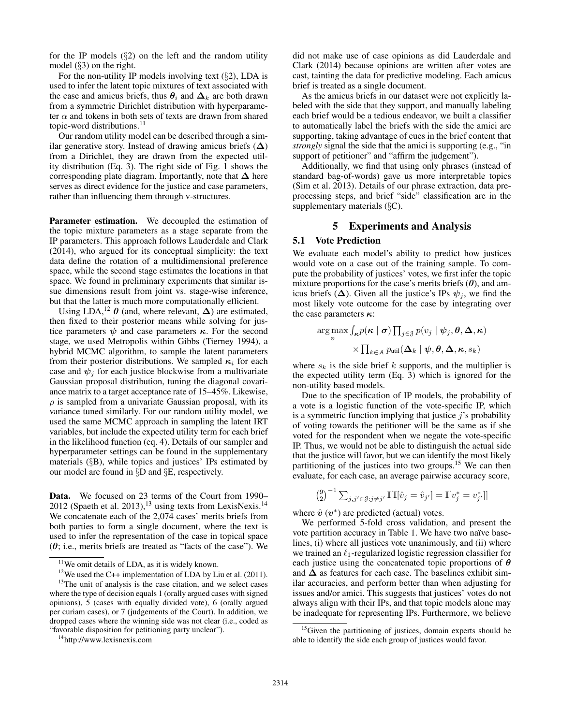for the IP models  $(\S2)$  on the left and the random utility model (§3) on the right.

For the non-utility IP models involving text  $(\S2)$ , LDA is used to infer the latent topic mixtures of text associated with the case and amicus briefs, thus  $\theta_i$  and  $\Delta_k$  are both drawn from a symmetric Dirichlet distribution with hyperparameter  $\alpha$  and tokens in both sets of texts are drawn from shared topic-word distributions.<sup>11</sup>

Our random utility model can be described through a similar generative story. Instead of drawing amicus briefs  $(∆)$ from a Dirichlet, they are drawn from the expected utility distribution (Eq. 3). The right side of Fig. 1 shows the corresponding plate diagram. Importantly, note that  $\Delta$  here serves as direct evidence for the justice and case parameters, rather than influencing them through v-structures.

Parameter estimation. We decoupled the estimation of the topic mixture parameters as a stage separate from the IP parameters. This approach follows Lauderdale and Clark (2014), who argued for its conceptual simplicity: the text data define the rotation of a multidimensional preference space, while the second stage estimates the locations in that space. We found in preliminary experiments that similar issue dimensions result from joint vs. stage-wise inference, but that the latter is much more computationally efficient.

Using LDA,<sup>12</sup>  $\theta$  (and, where relevant,  $\Delta$ ) are estimated, then fixed to their posterior means while solving for justice parameters  $\psi$  and case parameters  $\kappa$ . For the second stage, we used Metropolis within Gibbs (Tierney 1994), a hybrid MCMC algorithm, to sample the latent parameters from their posterior distributions. We sampled  $\kappa_i$  for each case and  $\psi_i$  for each justice blockwise from a multivariate Gaussian proposal distribution, tuning the diagonal covariance matrix to a target acceptance rate of 15–45%. Likewise,  $\rho$  is sampled from a univariate Gaussian proposal, with its variance tuned similarly. For our random utility model, we used the same MCMC approach in sampling the latent IRT variables, but include the expected utility term for each brief in the likelihood function (eq. 4). Details of our sampler and hyperparameter settings can be found in the supplementary materials (§B), while topics and justices' IPs estimated by our model are found in §D and §E, respectively.

Data. We focused on 23 terms of the Court from 1990– 2012 (Spaeth et al. 2013),<sup>13</sup> using texts from LexisNexis.<sup>14</sup> We concatenate each of the 2,074 cases' merits briefs from both parties to form a single document, where the text is used to infer the representation of the case in topical space  $(\theta)$ ; i.e., merits briefs are treated as "facts of the case"). We

did not make use of case opinions as did Lauderdale and Clark (2014) because opinions are written after votes are cast, tainting the data for predictive modeling. Each amicus brief is treated as a single document.

As the amicus briefs in our dataset were not explicitly labeled with the side that they support, and manually labeling each brief would be a tedious endeavor, we built a classifier to automatically label the briefs with the side the amici are supporting, taking advantage of cues in the brief content that *strongly* signal the side that the amici is supporting (e.g., "in support of petitioner" and "affirm the judgement").

Additionally, we find that using only phrases (instead of standard bag-of-words) gave us more interpretable topics (Sim et al. 2013). Details of our phrase extraction, data preprocessing steps, and brief "side" classification are in the supplementary materials (§C).

# 5 Experiments and Analysis

# 5.1 Vote Prediction

We evaluate each model's ability to predict how justices would vote on a case out of the training sample. To compute the probability of justices' votes, we first infer the topic mixture proportions for the case's merits briefs  $(\theta)$ , and amicus briefs ( $\Delta$ ). Given all the justice's IPs  $\psi_i$ , we find the most likely vote outcome for the case by integrating over the case parameters  $\kappa$ :

$$
\argmax_{\mathbf{v}} \int_{\kappa} p(\kappa \mid \boldsymbol{\sigma}) \prod_{j \in \mathcal{J}} p(v_j \mid \boldsymbol{\psi}_j, \boldsymbol{\theta}, \boldsymbol{\Delta}, \kappa) \\ \times \prod_{k \in \mathcal{A}} p_{\text{util}}(\boldsymbol{\Delta}_k \mid \boldsymbol{\psi}, \boldsymbol{\theta}, \boldsymbol{\Delta}, \kappa, s_k)
$$

where  $s_k$  is the side brief k supports, and the multiplier is the expected utility term (Eq. 3) which is ignored for the non-utility based models.

Due to the specification of IP models, the probability of a vote is a logistic function of the vote-specific IP, which is a symmetric function implying that justice  $i$ 's probability of voting towards the petitioner will be the same as if she voted for the respondent when we negate the vote-specific IP. Thus, we would not be able to distinguish the actual side that the justice will favor, but we can identify the most likely partitioning of the justices into two groups.<sup>15</sup> We can then evaluate, for each case, an average pairwise accuracy score,

$$
\binom{9}{2}^{-1} \sum_{j,j' \in \mathcal{J}: j \neq j'} \mathbb{I}[\mathbb{I}[\hat{v}_j = \hat{v}_{j'}] = \mathbb{I}[v_j^* = v_{j'}^*]]
$$

where  $\hat{v}$  ( $v^*$ ) are predicted (actual) votes.

We performed 5-fold cross validation, and present the vote partition accuracy in Table 1. We have two naïve baselines, (i) where all justices vote unanimously, and (ii) where we trained an  $\ell_1$ -regularized logistic regression classifier for each justice using the concatenated topic proportions of  $\theta$ and  $\Delta$  as features for each case. The baselines exhibit similar accuracies, and perform better than when adjusting for issues and/or amici. This suggests that justices' votes do not always align with their IPs, and that topic models alone may be inadequate for representing IPs. Furthermore, we believe

<sup>&</sup>lt;sup>11</sup>We omit details of LDA, as it is widely known.

<sup>&</sup>lt;sup>12</sup>We used the C++ implementation of LDA by Liu et al. (2011).

<sup>&</sup>lt;sup>13</sup>The unit of analysis is the case citation, and we select cases where the type of decision equals 1 (orally argued cases with signed opinions), 5 (cases with equally divided vote), 6 (orally argued per curiam cases), or 7 (judgements of the Court). In addition, we dropped cases where the winning side was not clear (i.e., coded as "favorable disposition for petitioning party unclear").

<sup>14</sup>http://www.lexisnexis.com

 $15$ Given the partitioning of justices, domain experts should be able to identify the side each group of justices would favor.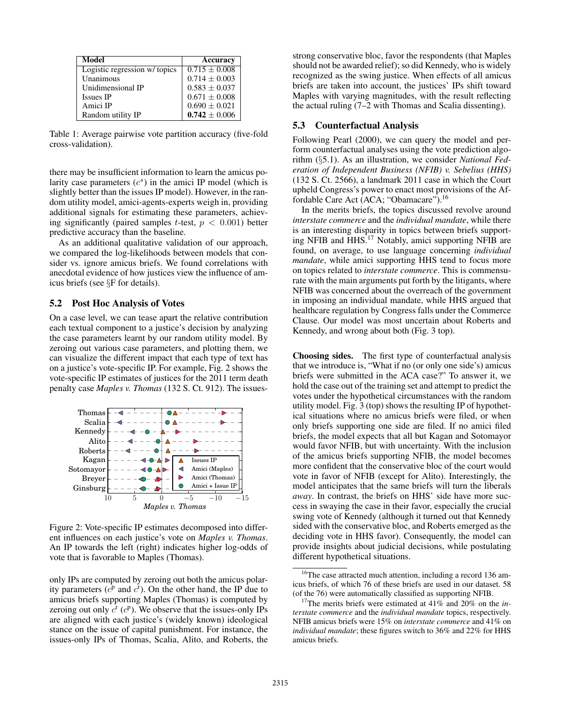| Model                         | Accuracy          |
|-------------------------------|-------------------|
| Logistic regression w/ topics | $0.715 + 0.008$   |
| Unanimous                     | $0.714 + 0.003$   |
| Unidimensional IP             | $0.583 + 0.037$   |
| <b>Issues IP</b>              | $0.671 \pm 0.008$ |
| Amici IP                      | $0.690 \pm 0.021$ |
| Random utility IP             | $0.742 \pm 0.006$ |

Table 1: Average pairwise vote partition accuracy (five-fold cross-validation).

there may be insufficient information to learn the amicus polarity case parameters  $(c<sup>s</sup>)$  in the amici IP model (which is slightly better than the issues IP model). However, in the random utility model, amici-agents-experts weigh in, providing additional signals for estimating these parameters, achieving significantly (paired samples *t*-test,  $p < 0.001$ ) better predictive accuracy than the baseline.

As an additional qualitative validation of our approach, we compared the log-likelihoods between models that consider vs. ignore amicus briefs. We found correlations with anecdotal evidence of how justices view the influence of amicus briefs (see §F for details).

#### 5.2 Post Hoc Analysis of Votes

On a case level, we can tease apart the relative contribution each textual component to a justice's decision by analyzing the case parameters learnt by our random utility model. By zeroing out various case parameters, and plotting them, we can visualize the different impact that each type of text has on a justice's vote-specific IP. For example, Fig. 2 shows the vote-specific IP estimates of justices for the 2011 term death penalty case *Maples v. Thomas* (132 S. Ct. 912). The issues-



Figure 2: Vote-specific IP estimates decomposed into different influences on each justice's vote on *Maples v. Thomas*. An IP towards the left (right) indicates higher log-odds of vote that is favorable to Maples (Thomas).

only IPs are computed by zeroing out both the amicus polarity parameters  $(c^{\bar{p}}$  and  $c^{\bar{r}})$ . On the other hand, the IP due to amicus briefs supporting Maples (Thomas) is computed by zeroing out only  $c^r$  ( $c^p$ ). We observe that the issues-only IPs are aligned with each justice's (widely known) ideological stance on the issue of capital punishment. For instance, the issues-only IPs of Thomas, Scalia, Alito, and Roberts, the strong conservative bloc, favor the respondents (that Maples should not be awarded relief); so did Kennedy, who is widely recognized as the swing justice. When effects of all amicus briefs are taken into account, the justices' IPs shift toward Maples with varying magnitudes, with the result reflecting the actual ruling (7–2 with Thomas and Scalia dissenting).

### 5.3 Counterfactual Analysis

Following Pearl (2000), we can query the model and perform counterfactual analyses using the vote prediction algorithm (§5.1). As an illustration, we consider *National Federation of Independent Business (NFIB) v. Sebelius (HHS)* (132 S. Ct. 2566), a landmark 2011 case in which the Court upheld Congress's power to enact most provisions of the Affordable Care Act (ACA; "Obamacare").<sup>16</sup>

In the merits briefs, the topics discussed revolve around *interstate commerce* and the *individual mandate*, while there is an interesting disparity in topics between briefs supporting NFIB and HHS.<sup>17</sup> Notably, amici supporting NFIB are found, on average, to use language concerning *individual mandate*, while amici supporting HHS tend to focus more on topics related to *interstate commerce*. This is commensurate with the main arguments put forth by the litigants, where NFIB was concerned about the overreach of the government in imposing an individual mandate, while HHS argued that healthcare regulation by Congress falls under the Commerce Clause. Our model was most uncertain about Roberts and Kennedy, and wrong about both (Fig. 3 top).

Choosing sides. The first type of counterfactual analysis that we introduce is, "What if no (or only one side's) amicus briefs were submitted in the ACA case?" To answer it, we hold the case out of the training set and attempt to predict the votes under the hypothetical circumstances with the random utility model. Fig. 3 (top) shows the resulting IP of hypothetical situations where no amicus briefs were filed, or when only briefs supporting one side are filed. If no amici filed briefs, the model expects that all but Kagan and Sotomayor would favor NFIB, but with uncertainty. With the inclusion of the amicus briefs supporting NFIB, the model becomes more confident that the conservative bloc of the court would vote in favor of NFIB (except for Alito). Interestingly, the model anticipates that the same briefs will turn the liberals *away*. In contrast, the briefs on HHS' side have more success in swaying the case in their favor, especially the crucial swing vote of Kennedy (although it turned out that Kennedy sided with the conservative bloc, and Roberts emerged as the deciding vote in HHS favor). Consequently, the model can provide insights about judicial decisions, while postulating different hypothetical situations.

 $16$ <sup>16</sup>The case attracted much attention, including a record 136 amicus briefs, of which 76 of these briefs are used in our dataset. 58 (of the 76) were automatically classified as supporting NFIB.

<sup>17</sup>The merits briefs were estimated at 41% and 20% on the *interstate commerce* and the *individual mandate* topics, respectively. NFIB amicus briefs were 15% on *interstate commerce* and 41% on *individual mandate*; these figures switch to 36% and 22% for HHS amicus briefs.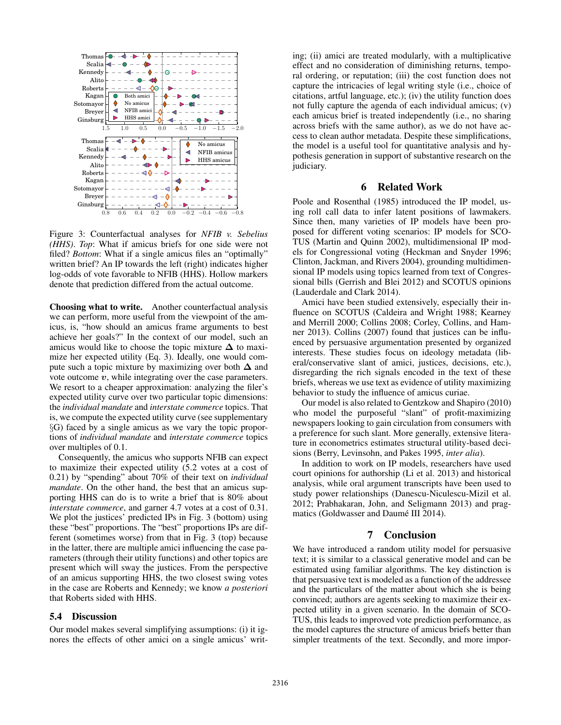

Figure 3: Counterfactual analyses for *NFIB v. Sebelius (HHS)*. *Top*: What if amicus briefs for one side were not filed? *Bottom*: What if a single amicus files an "optimally" written brief? An IP towards the left (right) indicates higher log-odds of vote favorable to NFIB (HHS). Hollow markers denote that prediction differed from the actual outcome.

Choosing what to write. Another counterfactual analysis we can perform, more useful from the viewpoint of the amicus, is, "how should an amicus frame arguments to best achieve her goals?" In the context of our model, such an amicus would like to choose the topic mixture  $\Delta$  to maximize her expected utility (Eq. 3). Ideally, one would compute such a topic mixture by maximizing over both  $\Delta$  and vote outcome  $v$ , while integrating over the case parameters. We resort to a cheaper approximation: analyzing the filer's expected utility curve over two particular topic dimensions: the *individual mandate* and *interstate commerce* topics. That is, we compute the expected utility curve (see supplementary §G) faced by a single amicus as we vary the topic proportions of *individual mandate* and *interstate commerce* topics over multiples of 0.1.

Consequently, the amicus who supports NFIB can expect to maximize their expected utility (5.2 votes at a cost of 0.21) by "spending" about 70% of their text on *individual mandate*. On the other hand, the best that an amicus supporting HHS can do is to write a brief that is 80% about *interstate commerce*, and garner 4.7 votes at a cost of 0.31. We plot the justices' predicted IPs in Fig. 3 (bottom) using these "best" proportions. The "best" proportions IPs are different (sometimes worse) from that in Fig. 3 (top) because in the latter, there are multiple amici influencing the case parameters (through their utility functions) and other topics are present which will sway the justices. From the perspective of an amicus supporting HHS, the two closest swing votes in the case are Roberts and Kennedy; we know *a posteriori* that Roberts sided with HHS.

# 5.4 Discussion

Our model makes several simplifying assumptions: (i) it ignores the effects of other amici on a single amicus' writing; (ii) amici are treated modularly, with a multiplicative effect and no consideration of diminishing returns, temporal ordering, or reputation; (iii) the cost function does not capture the intricacies of legal writing style (i.e., choice of citations, artful language, etc.); (iv) the utility function does not fully capture the agenda of each individual amicus; (v) each amicus brief is treated independently (i.e., no sharing across briefs with the same author), as we do not have access to clean author metadata. Despite these simplifications, the model is a useful tool for quantitative analysis and hypothesis generation in support of substantive research on the judiciary.

# 6 Related Work

Poole and Rosenthal (1985) introduced the IP model, using roll call data to infer latent positions of lawmakers. Since then, many varieties of IP models have been proposed for different voting scenarios: IP models for SCO-TUS (Martin and Quinn 2002), multidimensional IP models for Congressional voting (Heckman and Snyder 1996; Clinton, Jackman, and Rivers 2004), grounding multidimensional IP models using topics learned from text of Congressional bills (Gerrish and Blei 2012) and SCOTUS opinions (Lauderdale and Clark 2014).

Amici have been studied extensively, especially their influence on SCOTUS (Caldeira and Wright 1988; Kearney and Merrill 2000; Collins 2008; Corley, Collins, and Hamner 2013). Collins (2007) found that justices can be influenced by persuasive argumentation presented by organized interests. These studies focus on ideology metadata (liberal/conservative slant of amici, justices, decisions, etc.), disregarding the rich signals encoded in the text of these briefs, whereas we use text as evidence of utility maximizing behavior to study the influence of amicus curiae.

Our model is also related to Gentzkow and Shapiro (2010) who model the purposeful "slant" of profit-maximizing newspapers looking to gain circulation from consumers with a preference for such slant. More generally, extensive literature in econometrics estimates structural utility-based decisions (Berry, Levinsohn, and Pakes 1995, *inter alia*).

In addition to work on IP models, researchers have used court opinions for authorship (Li et al. 2013) and historical analysis, while oral argument transcripts have been used to study power relationships (Danescu-Niculescu-Mizil et al. 2012; Prabhakaran, John, and Seligmann 2013) and pragmatics (Goldwasser and Daumé III 2014).

### 7 Conclusion

We have introduced a random utility model for persuasive text; it is similar to a classical generative model and can be estimated using familiar algorithms. The key distinction is that persuasive text is modeled as a function of the addressee and the particulars of the matter about which she is being convinced; authors are agents seeking to maximize their expected utility in a given scenario. In the domain of SCO-TUS, this leads to improved vote prediction performance, as the model captures the structure of amicus briefs better than simpler treatments of the text. Secondly, and more impor